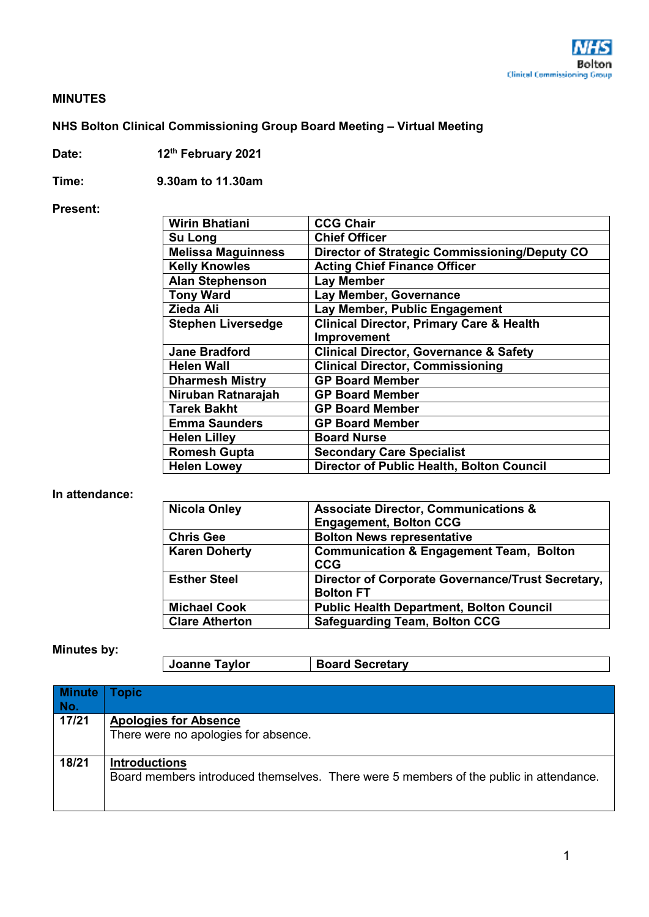

#### **MINUTES**

## **NHS Bolton Clinical Commissioning Group Board Meeting – Virtual Meeting**

**Date: 12th February 2021** 

**Time: 9.30am to 11.30am** 

#### **Present:**

| <b>Wirin Bhatiani</b>     | <b>CCG Chair</b>                                     |
|---------------------------|------------------------------------------------------|
| Su Long                   | <b>Chief Officer</b>                                 |
| <b>Melissa Maguinness</b> | <b>Director of Strategic Commissioning/Deputy CO</b> |
| <b>Kelly Knowles</b>      | <b>Acting Chief Finance Officer</b>                  |
| <b>Alan Stephenson</b>    | <b>Lay Member</b>                                    |
| <b>Tony Ward</b>          | Lay Member, Governance                               |
| Zieda Ali                 | Lay Member, Public Engagement                        |
| <b>Stephen Liversedge</b> | <b>Clinical Director, Primary Care &amp; Health</b>  |
|                           | Improvement                                          |
| <b>Jane Bradford</b>      | <b>Clinical Director, Governance &amp; Safety</b>    |
| <b>Helen Wall</b>         | <b>Clinical Director, Commissioning</b>              |
| <b>Dharmesh Mistry</b>    | <b>GP Board Member</b>                               |
| Niruban Ratnarajah        | <b>GP Board Member</b>                               |
| <b>Tarek Bakht</b>        | <b>GP Board Member</b>                               |
| <b>Emma Saunders</b>      | <b>GP Board Member</b>                               |
| <b>Helen Lilley</b>       | <b>Board Nurse</b>                                   |
| <b>Romesh Gupta</b>       | <b>Secondary Care Specialist</b>                     |
| <b>Helen Lowey</b>        | <b>Director of Public Health, Bolton Council</b>     |

### **In attendance:**

| <b>Nicola Onley</b>   | <b>Associate Director, Communications &amp;</b>    |  |
|-----------------------|----------------------------------------------------|--|
|                       | <b>Engagement, Bolton CCG</b>                      |  |
| <b>Chris Gee</b>      | <b>Bolton News representative</b>                  |  |
| <b>Karen Doherty</b>  | <b>Communication &amp; Engagement Team, Bolton</b> |  |
|                       | <b>CCG</b>                                         |  |
| <b>Esther Steel</b>   | Director of Corporate Governance/Trust Secretary,  |  |
|                       | <b>Bolton FT</b>                                   |  |
| <b>Michael Cook</b>   | <b>Public Health Department, Bolton Council</b>    |  |
| <b>Clare Atherton</b> | <b>Safeguarding Team, Bolton CCG</b>               |  |

## **Minutes by:**

| Joanne Taylor<br><b>Board Secretary</b> |  |
|-----------------------------------------|--|
|-----------------------------------------|--|

| <b>Minute</b> | <b>Topic</b>                                                                           |
|---------------|----------------------------------------------------------------------------------------|
| No.           |                                                                                        |
| 17/21         | <b>Apologies for Absence</b>                                                           |
|               | There were no apologies for absence.                                                   |
|               |                                                                                        |
| 18/21         | <b>Introductions</b>                                                                   |
|               | Board members introduced themselves. There were 5 members of the public in attendance. |
|               |                                                                                        |
|               |                                                                                        |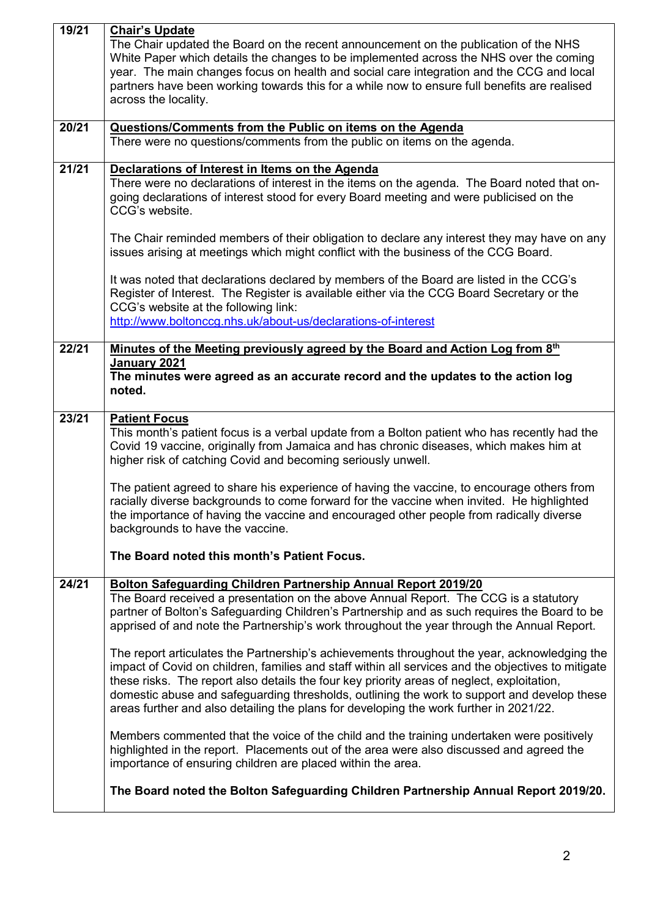|                                                                                        | Chair's Update                                                                                                                                                                        |  |  |  |  |
|----------------------------------------------------------------------------------------|---------------------------------------------------------------------------------------------------------------------------------------------------------------------------------------|--|--|--|--|
|                                                                                        | The Chair updated the Board on the recent announcement on the publication of the NHS                                                                                                  |  |  |  |  |
|                                                                                        | White Paper which details the changes to be implemented across the NHS over the coming                                                                                                |  |  |  |  |
|                                                                                        | year. The main changes focus on health and social care integration and the CCG and local                                                                                              |  |  |  |  |
|                                                                                        | partners have been working towards this for a while now to ensure full benefits are realised                                                                                          |  |  |  |  |
|                                                                                        | across the locality.                                                                                                                                                                  |  |  |  |  |
|                                                                                        |                                                                                                                                                                                       |  |  |  |  |
| 20/21                                                                                  | Questions/Comments from the Public on items on the Agenda                                                                                                                             |  |  |  |  |
|                                                                                        | There were no questions/comments from the public on items on the agenda.                                                                                                              |  |  |  |  |
|                                                                                        |                                                                                                                                                                                       |  |  |  |  |
| 21/21<br>Declarations of Interest in Items on the Agenda                               |                                                                                                                                                                                       |  |  |  |  |
|                                                                                        | There were no declarations of interest in the items on the agenda. The Board noted that on-                                                                                           |  |  |  |  |
|                                                                                        | going declarations of interest stood for every Board meeting and were publicised on the<br>CCG's website.                                                                             |  |  |  |  |
|                                                                                        |                                                                                                                                                                                       |  |  |  |  |
|                                                                                        | The Chair reminded members of their obligation to declare any interest they may have on any                                                                                           |  |  |  |  |
|                                                                                        | issues arising at meetings which might conflict with the business of the CCG Board.                                                                                                   |  |  |  |  |
|                                                                                        |                                                                                                                                                                                       |  |  |  |  |
|                                                                                        | It was noted that declarations declared by members of the Board are listed in the CCG's                                                                                               |  |  |  |  |
|                                                                                        | Register of Interest. The Register is available either via the CCG Board Secretary or the                                                                                             |  |  |  |  |
|                                                                                        | CCG's website at the following link:                                                                                                                                                  |  |  |  |  |
|                                                                                        | http://www.boltonccg.nhs.uk/about-us/declarations-of-interest                                                                                                                         |  |  |  |  |
|                                                                                        |                                                                                                                                                                                       |  |  |  |  |
| 22/21                                                                                  | Minutes of the Meeting previously agreed by the Board and Action Log from 8th                                                                                                         |  |  |  |  |
|                                                                                        | January 2021                                                                                                                                                                          |  |  |  |  |
|                                                                                        | The minutes were agreed as an accurate record and the updates to the action log                                                                                                       |  |  |  |  |
|                                                                                        | noted.                                                                                                                                                                                |  |  |  |  |
|                                                                                        |                                                                                                                                                                                       |  |  |  |  |
| 23/21                                                                                  | <b>Patient Focus</b>                                                                                                                                                                  |  |  |  |  |
|                                                                                        | This month's patient focus is a verbal update from a Bolton patient who has recently had the                                                                                          |  |  |  |  |
| Covid 19 vaccine, originally from Jamaica and has chronic diseases, which makes him at |                                                                                                                                                                                       |  |  |  |  |
|                                                                                        |                                                                                                                                                                                       |  |  |  |  |
|                                                                                        | higher risk of catching Covid and becoming seriously unwell.                                                                                                                          |  |  |  |  |
|                                                                                        |                                                                                                                                                                                       |  |  |  |  |
|                                                                                        | The patient agreed to share his experience of having the vaccine, to encourage others from                                                                                            |  |  |  |  |
|                                                                                        | racially diverse backgrounds to come forward for the vaccine when invited. He highlighted                                                                                             |  |  |  |  |
|                                                                                        | the importance of having the vaccine and encouraged other people from radically diverse<br>backgrounds to have the vaccine.                                                           |  |  |  |  |
|                                                                                        |                                                                                                                                                                                       |  |  |  |  |
|                                                                                        | The Board noted this month's Patient Focus.                                                                                                                                           |  |  |  |  |
|                                                                                        |                                                                                                                                                                                       |  |  |  |  |
| 24/21                                                                                  | Bolton Safeguarding Children Partnership Annual Report 2019/20                                                                                                                        |  |  |  |  |
|                                                                                        | The Board received a presentation on the above Annual Report. The CCG is a statutory                                                                                                  |  |  |  |  |
|                                                                                        | partner of Bolton's Safeguarding Children's Partnership and as such requires the Board to be                                                                                          |  |  |  |  |
|                                                                                        | apprised of and note the Partnership's work throughout the year through the Annual Report.                                                                                            |  |  |  |  |
|                                                                                        |                                                                                                                                                                                       |  |  |  |  |
|                                                                                        | The report articulates the Partnership's achievements throughout the year, acknowledging the                                                                                          |  |  |  |  |
|                                                                                        | impact of Covid on children, families and staff within all services and the objectives to mitigate                                                                                    |  |  |  |  |
|                                                                                        | these risks. The report also details the four key priority areas of neglect, exploitation,                                                                                            |  |  |  |  |
|                                                                                        | domestic abuse and safeguarding thresholds, outlining the work to support and develop these                                                                                           |  |  |  |  |
|                                                                                        | areas further and also detailing the plans for developing the work further in 2021/22.                                                                                                |  |  |  |  |
|                                                                                        |                                                                                                                                                                                       |  |  |  |  |
|                                                                                        | Members commented that the voice of the child and the training undertaken were positively<br>highlighted in the report. Placements out of the area were also discussed and agreed the |  |  |  |  |
|                                                                                        | importance of ensuring children are placed within the area.                                                                                                                           |  |  |  |  |
|                                                                                        |                                                                                                                                                                                       |  |  |  |  |
|                                                                                        | The Board noted the Bolton Safeguarding Children Partnership Annual Report 2019/20.                                                                                                   |  |  |  |  |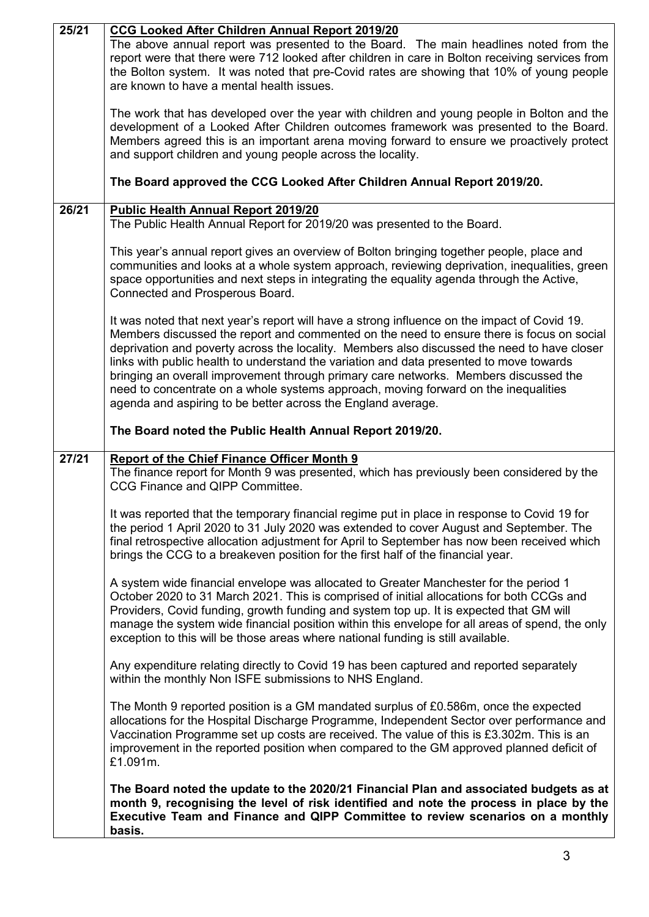| 25/21 | <b>CCG Looked After Children Annual Report 2019/20</b>                                          |  |  |  |  |
|-------|-------------------------------------------------------------------------------------------------|--|--|--|--|
|       | The above annual report was presented to the Board. The main headlines noted from the           |  |  |  |  |
|       | report were that there were 712 looked after children in care in Bolton receiving services from |  |  |  |  |
|       | the Bolton system. It was noted that pre-Covid rates are showing that 10% of young people       |  |  |  |  |
|       | are known to have a mental health issues.                                                       |  |  |  |  |
|       |                                                                                                 |  |  |  |  |
|       | The work that has developed over the year with children and young people in Bolton and the      |  |  |  |  |
|       | development of a Looked After Children outcomes framework was presented to the Board.           |  |  |  |  |
|       | Members agreed this is an important arena moving forward to ensure we proactively protect       |  |  |  |  |
|       | and support children and young people across the locality.                                      |  |  |  |  |
|       |                                                                                                 |  |  |  |  |
|       | The Board approved the CCG Looked After Children Annual Report 2019/20.                         |  |  |  |  |
| 26/21 | <b>Public Health Annual Report 2019/20</b>                                                      |  |  |  |  |
|       | The Public Health Annual Report for 2019/20 was presented to the Board.                         |  |  |  |  |
|       |                                                                                                 |  |  |  |  |
|       | This year's annual report gives an overview of Bolton bringing together people, place and       |  |  |  |  |
|       | communities and looks at a whole system approach, reviewing deprivation, inequalities, green    |  |  |  |  |
|       | space opportunities and next steps in integrating the equality agenda through the Active,       |  |  |  |  |
|       |                                                                                                 |  |  |  |  |
|       | Connected and Prosperous Board.                                                                 |  |  |  |  |
|       |                                                                                                 |  |  |  |  |
|       | It was noted that next year's report will have a strong influence on the impact of Covid 19.    |  |  |  |  |
|       | Members discussed the report and commented on the need to ensure there is focus on social       |  |  |  |  |
|       | deprivation and poverty across the locality. Members also discussed the need to have closer     |  |  |  |  |
|       | links with public health to understand the variation and data presented to move towards         |  |  |  |  |
|       | bringing an overall improvement through primary care networks. Members discussed the            |  |  |  |  |
|       | need to concentrate on a whole systems approach, moving forward on the inequalities             |  |  |  |  |
|       | agenda and aspiring to be better across the England average.                                    |  |  |  |  |
|       |                                                                                                 |  |  |  |  |
|       | The Board noted the Public Health Annual Report 2019/20.                                        |  |  |  |  |
| 27/21 | <b>Report of the Chief Finance Officer Month 9</b>                                              |  |  |  |  |
|       | The finance report for Month 9 was presented, which has previously been considered by the       |  |  |  |  |
|       | CCG Finance and QIPP Committee.                                                                 |  |  |  |  |
|       |                                                                                                 |  |  |  |  |
|       | It was reported that the temporary financial regime put in place in response to Covid 19 for    |  |  |  |  |
|       |                                                                                                 |  |  |  |  |
|       | the period 1 April 2020 to 31 July 2020 was extended to cover August and September. The         |  |  |  |  |
|       | final retrospective allocation adjustment for April to September has now been received which    |  |  |  |  |
|       | brings the CCG to a breakeven position for the first half of the financial year.                |  |  |  |  |
|       |                                                                                                 |  |  |  |  |
|       | A system wide financial envelope was allocated to Greater Manchester for the period 1           |  |  |  |  |
|       | October 2020 to 31 March 2021. This is comprised of initial allocations for both CCGs and       |  |  |  |  |
|       | Providers, Covid funding, growth funding and system top up. It is expected that GM will         |  |  |  |  |
|       | manage the system wide financial position within this envelope for all areas of spend, the only |  |  |  |  |
|       | exception to this will be those areas where national funding is still available.                |  |  |  |  |
|       |                                                                                                 |  |  |  |  |
|       |                                                                                                 |  |  |  |  |
|       | Any expenditure relating directly to Covid 19 has been captured and reported separately         |  |  |  |  |
|       | within the monthly Non ISFE submissions to NHS England.                                         |  |  |  |  |
|       |                                                                                                 |  |  |  |  |
|       | The Month 9 reported position is a GM mandated surplus of £0.586m, once the expected            |  |  |  |  |
|       |                                                                                                 |  |  |  |  |
|       | allocations for the Hospital Discharge Programme, Independent Sector over performance and       |  |  |  |  |
|       | Vaccination Programme set up costs are received. The value of this is £3.302m. This is an       |  |  |  |  |
|       | improvement in the reported position when compared to the GM approved planned deficit of        |  |  |  |  |
|       | £1.091m.                                                                                        |  |  |  |  |
|       |                                                                                                 |  |  |  |  |
|       | The Board noted the update to the 2020/21 Financial Plan and associated budgets as at           |  |  |  |  |
|       | month 9, recognising the level of risk identified and note the process in place by the          |  |  |  |  |
|       | Executive Team and Finance and QIPP Committee to review scenarios on a monthly<br>basis.        |  |  |  |  |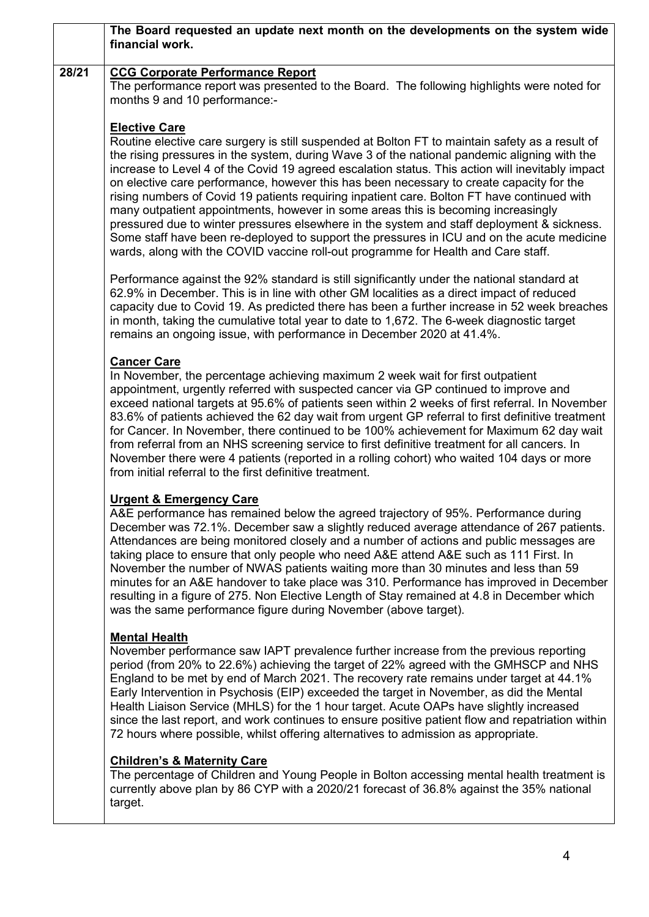|       | The Board requested an update next month on the developments on the system wide<br>financial work.                                                                                                                                                                                                                                                                                                                                                                                                                                                                                                                                                                                                                                                                                                                                                                                           |  |  |  |  |
|-------|----------------------------------------------------------------------------------------------------------------------------------------------------------------------------------------------------------------------------------------------------------------------------------------------------------------------------------------------------------------------------------------------------------------------------------------------------------------------------------------------------------------------------------------------------------------------------------------------------------------------------------------------------------------------------------------------------------------------------------------------------------------------------------------------------------------------------------------------------------------------------------------------|--|--|--|--|
|       |                                                                                                                                                                                                                                                                                                                                                                                                                                                                                                                                                                                                                                                                                                                                                                                                                                                                                              |  |  |  |  |
| 28/21 | <b>CCG Corporate Performance Report</b><br>The performance report was presented to the Board. The following highlights were noted for<br>months 9 and 10 performance:-                                                                                                                                                                                                                                                                                                                                                                                                                                                                                                                                                                                                                                                                                                                       |  |  |  |  |
|       | <b>Elective Care</b><br>Routine elective care surgery is still suspended at Bolton FT to maintain safety as a result of<br>the rising pressures in the system, during Wave 3 of the national pandemic aligning with the<br>increase to Level 4 of the Covid 19 agreed escalation status. This action will inevitably impact<br>on elective care performance, however this has been necessary to create capacity for the<br>rising numbers of Covid 19 patients requiring inpatient care. Bolton FT have continued with<br>many outpatient appointments, however in some areas this is becoming increasingly<br>pressured due to winter pressures elsewhere in the system and staff deployment & sickness.<br>Some staff have been re-deployed to support the pressures in ICU and on the acute medicine<br>wards, along with the COVID vaccine roll-out programme for Health and Care staff. |  |  |  |  |
|       | Performance against the 92% standard is still significantly under the national standard at<br>62.9% in December. This is in line with other GM localities as a direct impact of reduced<br>capacity due to Covid 19. As predicted there has been a further increase in 52 week breaches<br>in month, taking the cumulative total year to date to 1,672. The 6-week diagnostic target<br>remains an ongoing issue, with performance in December 2020 at 41.4%.                                                                                                                                                                                                                                                                                                                                                                                                                                |  |  |  |  |
|       | <b>Cancer Care</b><br>In November, the percentage achieving maximum 2 week wait for first outpatient<br>appointment, urgently referred with suspected cancer via GP continued to improve and<br>exceed national targets at 95.6% of patients seen within 2 weeks of first referral. In November<br>83.6% of patients achieved the 62 day wait from urgent GP referral to first definitive treatment<br>for Cancer. In November, there continued to be 100% achievement for Maximum 62 day wait<br>from referral from an NHS screening service to first definitive treatment for all cancers. In<br>November there were 4 patients (reported in a rolling cohort) who waited 104 days or more<br>from initial referral to the first definitive treatment.                                                                                                                                     |  |  |  |  |
|       | <b>Urgent &amp; Emergency Care</b><br>A&E performance has remained below the agreed trajectory of 95%. Performance during<br>December was 72.1%. December saw a slightly reduced average attendance of 267 patients.<br>Attendances are being monitored closely and a number of actions and public messages are<br>taking place to ensure that only people who need A&E attend A&E such as 111 First. In<br>November the number of NWAS patients waiting more than 30 minutes and less than 59<br>minutes for an A&E handover to take place was 310. Performance has improved in December<br>resulting in a figure of 275. Non Elective Length of Stay remained at 4.8 in December which<br>was the same performance figure during November (above target).                                                                                                                                  |  |  |  |  |
|       | <b>Mental Health</b><br>November performance saw IAPT prevalence further increase from the previous reporting<br>period (from 20% to 22.6%) achieving the target of 22% agreed with the GMHSCP and NHS<br>England to be met by end of March 2021. The recovery rate remains under target at 44.1%<br>Early Intervention in Psychosis (EIP) exceeded the target in November, as did the Mental<br>Health Liaison Service (MHLS) for the 1 hour target. Acute OAPs have slightly increased<br>since the last report, and work continues to ensure positive patient flow and repatriation within<br>72 hours where possible, whilst offering alternatives to admission as appropriate.                                                                                                                                                                                                          |  |  |  |  |
|       | <b>Children's &amp; Maternity Care</b><br>The percentage of Children and Young People in Bolton accessing mental health treatment is<br>currently above plan by 86 CYP with a 2020/21 forecast of 36.8% against the 35% national<br>target.                                                                                                                                                                                                                                                                                                                                                                                                                                                                                                                                                                                                                                                  |  |  |  |  |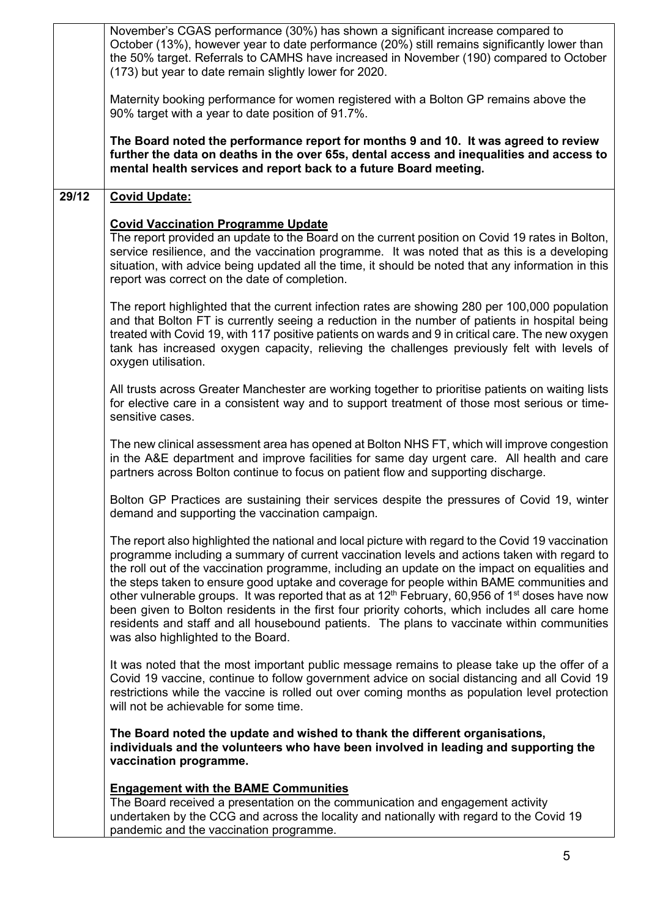|       | November's CGAS performance (30%) has shown a significant increase compared to<br>October (13%), however year to date performance (20%) still remains significantly lower than<br>the 50% target. Referrals to CAMHS have increased in November (190) compared to October<br>(173) but year to date remain slightly lower for 2020.                                                                                                                                                                                                                                                                                                                                                                                                                                 |  |  |  |  |
|-------|---------------------------------------------------------------------------------------------------------------------------------------------------------------------------------------------------------------------------------------------------------------------------------------------------------------------------------------------------------------------------------------------------------------------------------------------------------------------------------------------------------------------------------------------------------------------------------------------------------------------------------------------------------------------------------------------------------------------------------------------------------------------|--|--|--|--|
|       | Maternity booking performance for women registered with a Bolton GP remains above the<br>90% target with a year to date position of 91.7%.                                                                                                                                                                                                                                                                                                                                                                                                                                                                                                                                                                                                                          |  |  |  |  |
|       | The Board noted the performance report for months 9 and 10. It was agreed to review<br>further the data on deaths in the over 65s, dental access and inequalities and access to<br>mental health services and report back to a future Board meeting.                                                                                                                                                                                                                                                                                                                                                                                                                                                                                                                |  |  |  |  |
| 29/12 | <b>Covid Update:</b>                                                                                                                                                                                                                                                                                                                                                                                                                                                                                                                                                                                                                                                                                                                                                |  |  |  |  |
|       | <b>Covid Vaccination Programme Update</b><br>The report provided an update to the Board on the current position on Covid 19 rates in Bolton,<br>service resilience, and the vaccination programme. It was noted that as this is a developing<br>situation, with advice being updated all the time, it should be noted that any information in this<br>report was correct on the date of completion.                                                                                                                                                                                                                                                                                                                                                                 |  |  |  |  |
|       | The report highlighted that the current infection rates are showing 280 per 100,000 population<br>and that Bolton FT is currently seeing a reduction in the number of patients in hospital being<br>treated with Covid 19, with 117 positive patients on wards and 9 in critical care. The new oxygen<br>tank has increased oxygen capacity, relieving the challenges previously felt with levels of<br>oxygen utilisation.                                                                                                                                                                                                                                                                                                                                         |  |  |  |  |
|       | All trusts across Greater Manchester are working together to prioritise patients on waiting lists<br>for elective care in a consistent way and to support treatment of those most serious or time-<br>sensitive cases.                                                                                                                                                                                                                                                                                                                                                                                                                                                                                                                                              |  |  |  |  |
|       | The new clinical assessment area has opened at Bolton NHS FT, which will improve congestion<br>in the A&E department and improve facilities for same day urgent care. All health and care<br>partners across Bolton continue to focus on patient flow and supporting discharge.                                                                                                                                                                                                                                                                                                                                                                                                                                                                                     |  |  |  |  |
|       | Bolton GP Practices are sustaining their services despite the pressures of Covid 19, winter<br>demand and supporting the vaccination campaign.                                                                                                                                                                                                                                                                                                                                                                                                                                                                                                                                                                                                                      |  |  |  |  |
|       | The report also highlighted the national and local picture with regard to the Covid 19 vaccination<br>programme including a summary of current vaccination levels and actions taken with regard to<br>the roll out of the vaccination programme, including an update on the impact on equalities and<br>the steps taken to ensure good uptake and coverage for people within BAME communities and<br>other vulnerable groups. It was reported that as at 12 <sup>th</sup> February, 60,956 of 1 <sup>st</sup> doses have now<br>been given to Bolton residents in the first four priority cohorts, which includes all care home<br>residents and staff and all housebound patients. The plans to vaccinate within communities<br>was also highlighted to the Board. |  |  |  |  |
|       | It was noted that the most important public message remains to please take up the offer of a<br>Covid 19 vaccine, continue to follow government advice on social distancing and all Covid 19<br>restrictions while the vaccine is rolled out over coming months as population level protection<br>will not be achievable for some time.                                                                                                                                                                                                                                                                                                                                                                                                                             |  |  |  |  |
|       | The Board noted the update and wished to thank the different organisations,<br>individuals and the volunteers who have been involved in leading and supporting the<br>vaccination programme.                                                                                                                                                                                                                                                                                                                                                                                                                                                                                                                                                                        |  |  |  |  |
|       | <b>Engagement with the BAME Communities</b><br>The Board received a presentation on the communication and engagement activity<br>undertaken by the CCG and across the locality and nationally with regard to the Covid 19<br>pandemic and the vaccination programme.                                                                                                                                                                                                                                                                                                                                                                                                                                                                                                |  |  |  |  |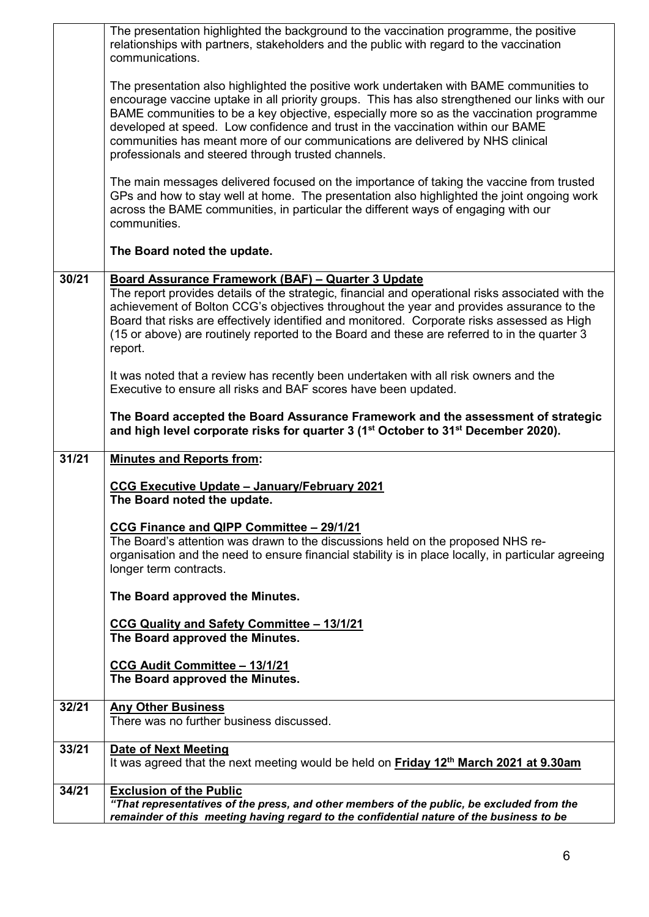|       | The presentation highlighted the background to the vaccination programme, the positive<br>relationships with partners, stakeholders and the public with regard to the vaccination<br>communications.                                                                                                                                                                                                                                                                                                             |  |  |  |  |
|-------|------------------------------------------------------------------------------------------------------------------------------------------------------------------------------------------------------------------------------------------------------------------------------------------------------------------------------------------------------------------------------------------------------------------------------------------------------------------------------------------------------------------|--|--|--|--|
|       | The presentation also highlighted the positive work undertaken with BAME communities to<br>encourage vaccine uptake in all priority groups. This has also strengthened our links with our<br>BAME communities to be a key objective, especially more so as the vaccination programme<br>developed at speed. Low confidence and trust in the vaccination within our BAME<br>communities has meant more of our communications are delivered by NHS clinical<br>professionals and steered through trusted channels. |  |  |  |  |
|       | The main messages delivered focused on the importance of taking the vaccine from trusted<br>GPs and how to stay well at home. The presentation also highlighted the joint ongoing work<br>across the BAME communities, in particular the different ways of engaging with our<br>communities.                                                                                                                                                                                                                     |  |  |  |  |
|       | The Board noted the update.                                                                                                                                                                                                                                                                                                                                                                                                                                                                                      |  |  |  |  |
| 30/21 | Board Assurance Framework (BAF) - Quarter 3 Update<br>The report provides details of the strategic, financial and operational risks associated with the<br>achievement of Bolton CCG's objectives throughout the year and provides assurance to the<br>Board that risks are effectively identified and monitored. Corporate risks assessed as High<br>(15 or above) are routinely reported to the Board and these are referred to in the quarter 3<br>report.                                                    |  |  |  |  |
|       | It was noted that a review has recently been undertaken with all risk owners and the<br>Executive to ensure all risks and BAF scores have been updated.                                                                                                                                                                                                                                                                                                                                                          |  |  |  |  |
|       | The Board accepted the Board Assurance Framework and the assessment of strategic<br>and high level corporate risks for quarter 3 (1 <sup>st</sup> October to 31 <sup>st</sup> December 2020).                                                                                                                                                                                                                                                                                                                    |  |  |  |  |
| 31/21 | <b>Minutes and Reports from:</b>                                                                                                                                                                                                                                                                                                                                                                                                                                                                                 |  |  |  |  |
|       | CCG Executive Update - January/February 2021<br>The Board noted the update.                                                                                                                                                                                                                                                                                                                                                                                                                                      |  |  |  |  |
|       | CCG Finance and QIPP Committee - 29/1/21<br>The Board's attention was drawn to the discussions held on the proposed NHS re-<br>organisation and the need to ensure financial stability is in place locally, in particular agreeing<br>longer term contracts.                                                                                                                                                                                                                                                     |  |  |  |  |
|       | The Board approved the Minutes.                                                                                                                                                                                                                                                                                                                                                                                                                                                                                  |  |  |  |  |
|       |                                                                                                                                                                                                                                                                                                                                                                                                                                                                                                                  |  |  |  |  |
|       | CCG Quality and Safety Committee - 13/1/21<br>The Board approved the Minutes.                                                                                                                                                                                                                                                                                                                                                                                                                                    |  |  |  |  |
|       | CCG Audit Committee - 13/1/21<br>The Board approved the Minutes.                                                                                                                                                                                                                                                                                                                                                                                                                                                 |  |  |  |  |
| 32/21 | <b>Any Other Business</b><br>There was no further business discussed.                                                                                                                                                                                                                                                                                                                                                                                                                                            |  |  |  |  |
| 33/21 | <b>Date of Next Meeting</b><br>It was agreed that the next meeting would be held on Friday 12 <sup>th</sup> March 2021 at 9.30am                                                                                                                                                                                                                                                                                                                                                                                 |  |  |  |  |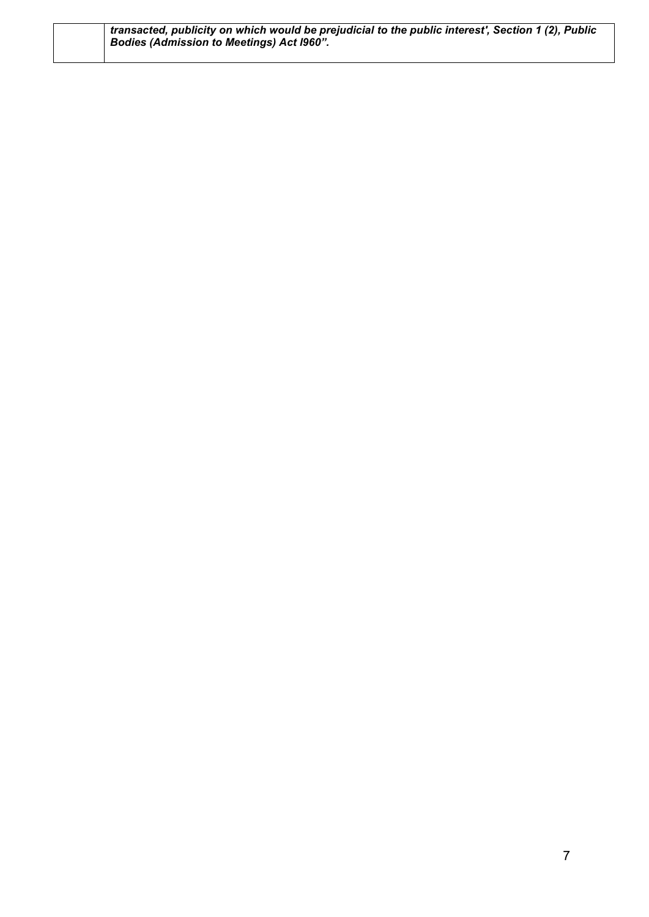| transacted, publicity on which would be prejudicial to the public interest', Section 1 (2), Public ' |  |
|------------------------------------------------------------------------------------------------------|--|
| <b>Bodies (Admission to Meetings) Act 1960".</b>                                                     |  |